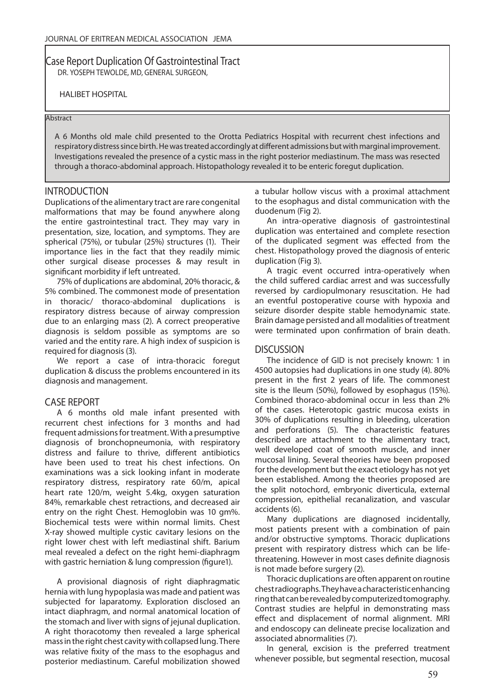Case Report Duplication Of Gastrointestinal Tract DR. YOSEPH TEWOLDE, MD, GENERAL SURGEON,

HALIBET HOSPITAL

#### Abstract

A 6 Months old male child presented to the Orotta Pediatrics Hospital with recurrent chest infections and respiratory distress since birth. He was treated accordingly at different admissions but with marginal improvement. Investigations revealed the presence of a cystic mass in the right posterior mediastinum. The mass was resected through a thoraco-abdominal approach. Histopathology revealed it to be enteric foregut duplication.

#### INTRODUCTION

Duplications of the alimentary tract are rare congenital malformations that may be found anywhere along the entire gastrointestinal tract. They may vary in presentation, size, location, and symptoms. They are spherical (75%), or tubular (25%) structures (1). Their importance lies in the fact that they readily mimic other surgical disease processes & may result in significant morbidity if left untreated.

75% of duplications are abdominal, 20% thoracic, & 5% combined. The commonest mode of presentation in thoracic/ thoraco-abdominal duplications is respiratory distress because of airway compression due to an enlarging mass (2). A correct preoperative diagnosis is seldom possible as symptoms are so varied and the entity rare. A high index of suspicion is required for diagnosis (3).

We report a case of intra-thoracic foregut duplication & discuss the problems encountered in its diagnosis and management.

#### CASE REPORT

A 6 months old male infant presented with recurrent chest infections for 3 months and had frequent admissions for treatment. With a presumptive diagnosis of bronchopneumonia, with respiratory distress and failure to thrive, different antibiotics have been used to treat his chest infections. On examinations was a sick looking infant in moderate respiratory distress, respiratory rate 60/m, apical heart rate 120/m, weight 5.4kg, oxygen saturation 84%, remarkable chest retractions, and decreased air entry on the right Chest. Hemoglobin was 10 gm%. Biochemical tests were within normal limits. Chest X-ray showed multiple cystic cavitary lesions on the right lower chest with left mediastinal shift. Barium meal revealed a defect on the right hemi-diaphragm with gastric herniation & lung compression (figure1).

A provisional diagnosis of right diaphragmatic hernia with lung hypoplasia was made and patient was subjected for laparatomy. Exploration disclosed an intact diaphragm, and normal anatomical location of the stomach and liver with signs of jejunal duplication. A right thoracotomy then revealed a large spherical mass in the right chest cavity with collapsed lung. There was relative fixity of the mass to the esophagus and posterior mediastinum. Careful mobilization showed

a tubular hollow viscus with a proximal attachment to the esophagus and distal communication with the duodenum (Fig 2).

An intra-operative diagnosis of gastrointestinal duplication was entertained and complete resection of the duplicated segment was effected from the chest. Histopathology proved the diagnosis of enteric duplication (Fig 3).

A tragic event occurred intra-operatively when the child suffered cardiac arrest and was successfully reversed by cardiopulmonary resuscitation. He had an eventful postoperative course with hypoxia and seizure disorder despite stable hemodynamic state. Brain damage persisted and all modalities of treatment were terminated upon confirmation of brain death.

#### **DISCUSSION**

The incidence of GID is not precisely known: 1 in 4500 autopsies had duplications in one study (4). 80% present in the first 2 years of life. The commonest site is the Ileum (50%), followed by esophagus (15%). Combined thoraco-abdominal occur in less than 2% of the cases. Heterotopic gastric mucosa exists in 30% of duplications resulting in bleeding, ulceration and perforations (5). The characteristic features described are attachment to the alimentary tract, well developed coat of smooth muscle, and inner mucosal lining. Several theories have been proposed for the development but the exact etiology has not yet been established. Among the theories proposed are the split notochord, embryonic diverticula, external compression, epithelial recanalization, and vascular accidents (6).

Many duplications are diagnosed incidentally, most patients present with a combination of pain and/or obstructive symptoms. Thoracic duplications present with respiratory distress which can be lifethreatening. However in most cases definite diagnosis is not made before surgery (2).

Thoracic duplications are often apparent on routine chest radiographs. They have a characteristic enhancing ring that can be revealed by computerized tomography. Contrast studies are helpful in demonstrating mass effect and displacement of normal alignment. MRI and endoscopy can delineate precise localization and associated abnormalities (7).

In general, excision is the preferred treatment whenever possible, but segmental resection, mucosal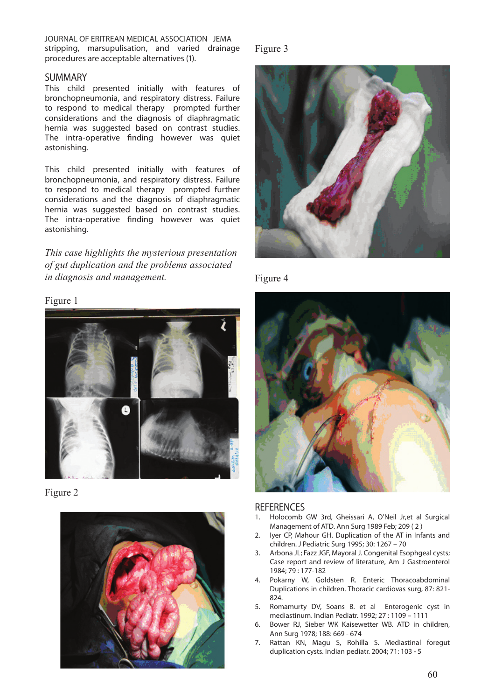JOURNAL OF ERITREAN MEDICAL ASSOCIATION JEMA stripping, marsupulisation, and varied drainage procedures are acceptable alternatives (1).

#### SUMMARY

This child presented initially with features of bronchopneumonia, and respiratory distress. Failure to respond to medical therapy prompted further considerations and the diagnosis of diaphragmatic hernia was suggested based on contrast studies. The intra-operative finding however was quiet astonishing.

This child presented initially with features of bronchopneumonia, and respiratory distress. Failure to respond to medical therapy prompted further considerations and the diagnosis of diaphragmatic hernia was suggested based on contrast studies. The intra-operative finding however was quiet astonishing.

*This case highlights the mysterious presentation of gut duplication and the problems associated in diagnosis and management.*

#### Figure 1



Figure 2



#### Figure 3



Figure 4



#### **REFERENCES**

- 1. Holocomb GW 3rd, Gheissari A, O'Neil Jr,et al Surgical Management of ATD. Ann Surg 1989 Feb; 209 ( 2 )
- 2. Iyer CP, Mahour GH. Duplication of the AT in Infants and children. J Pediatric Surg 1995; 30: 1267 – 70
- 3. Arbona JL; Fazz JGF, Mayoral J. Congenital Esophgeal cysts; Case report and review of literature, Am J Gastroenterol 1984; 79 : 177-182
- 4. Pokarny W, Goldsten R. Enteric Thoracoabdominal Duplications in children. Thoracic cardiovas surg, 87: 821- 824.
- 5. Romamurty DV, Soans B. et al Enterogenic cyst in mediastinum. Indian Pediatr. 1992; 27 : 1109 – 1111
- 6. Bower RJ, Sieber WK Kaisewetter WB. ATD in children, Ann Surg 1978; 188: 669 - 674
- 7. Rattan KN, Magu S, Rohilla S. Mediastinal foregut duplication cysts. Indian pediatr. 2004; 71: 103 - 5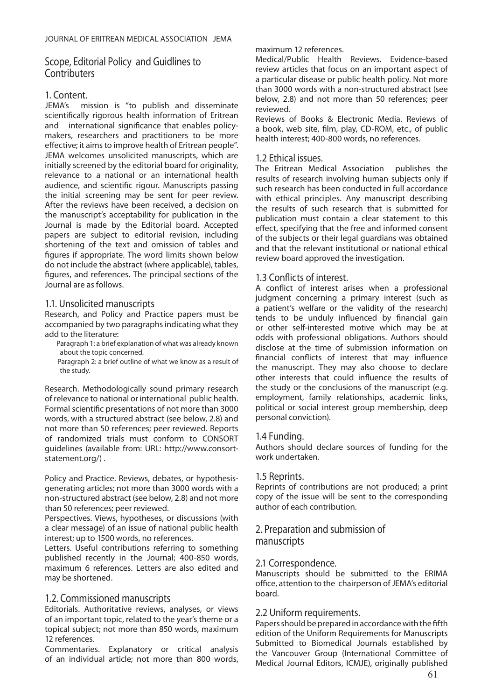# Scope, Editorial Policy and Guidlines to **Contributers**

# 1. Content.

JEMA's mission is "to publish and disseminate scientifically rigorous health information of Eritrean and international significance that enables policymakers, researchers and practitioners to be more effective; it aims to improve health of Eritrean people". JEMA welcomes unsolicited manuscripts, which are initially screened by the editorial board for originality, relevance to a national or an international health audience, and scientific rigour. Manuscripts passing the initial screening may be sent for peer review. After the reviews have been received, a decision on the manuscript's acceptability for publication in the Journal is made by the Editorial board. Accepted papers are subject to editorial revision, including shortening of the text and omission of tables and figures if appropriate. The word limits shown below do not include the abstract (where applicable), tables, figures, and references. The principal sections of the Journal are as follows.

#### 1.1. Unsolicited manuscripts

Research, and Policy and Practice papers must be accompanied by two paragraphs indicating what they add to the literature:

- Paragraph 1: a brief explanation of what was already known about the topic concerned.
- Paragraph 2: a brief outline of what we know as a result of the study.

Research. Methodologically sound primary research of relevance to national or international public health. Formal scientific presentations of not more than 3000 words, with a structured abstract (see below, 2.8) and not more than 50 references; peer reviewed. Reports of randomized trials must conform to CONSORT guidelines (available from: URL: http://www.consortstatement.org/) .

Policy and Practice. Reviews, debates, or hypothesisgenerating articles; not more than 3000 words with a non-structured abstract (see below, 2.8) and not more than 50 references; peer reviewed.

Perspectives. Views, hypotheses, or discussions (with a clear message) of an issue of national public health interest; up to 1500 words, no references.

Letters. Useful contributions referring to something published recently in the Journal; 400-850 words, maximum 6 references. Letters are also edited and may be shortened.

# 1.2. Commissioned manuscripts

Editorials. Authoritative reviews, analyses, or views of an important topic, related to the year's theme or a topical subject; not more than 850 words, maximum 12 references.

Commentaries. Explanatory or critical analysis of an individual article; not more than 800 words,

### maximum 12 references.

Medical/Public Health Reviews. Evidence-based review articles that focus on an important aspect of a particular disease or public health policy. Not more than 3000 words with a non-structured abstract (see below, 2.8) and not more than 50 references; peer reviewed.

Reviews of Books & Electronic Media. Reviews of a book, web site, film, play, CD-ROM, etc., of public health interest; 400-800 words, no references.

### 1.2 Ethical issues.

The Eritrean Medical Association publishes the results of research involving human subjects only if such research has been conducted in full accordance with ethical principles. Any manuscript describing the results of such research that is submitted for publication must contain a clear statement to this effect, specifying that the free and informed consent of the subjects or their legal guardians was obtained and that the relevant institutional or national ethical review board approved the investigation.

# 1.3 Conflicts of interest.

A conflict of interest arises when a professional judgment concerning a primary interest (such as a patient's welfare or the validity of the research) tends to be unduly influenced by financial gain or other self-interested motive which may be at odds with professional obligations. Authors should disclose at the time of submission information on financial conflicts of interest that may influence the manuscript. They may also choose to declare other interests that could influence the results of the study or the conclusions of the manuscript (e.g. employment, family relationships, academic links, political or social interest group membership, deep personal conviction).

### 1.4 Funding.

Authors should declare sources of funding for the work undertaken.

### 1.5 Reprints.

Reprints of contributions are not produced; a print copy of the issue will be sent to the corresponding author of each contribution.

# 2. Preparation and submission of manuscripts

### 2.1 Correspondence.

Manuscripts should be submitted to the ERIMA office, attention to the chairperson of JEMA's editorial board.

### 2.2 Uniform requirements.

Papers should be prepared in accordance with the fifth edition of the Uniform Requirements for Manuscripts Submitted to Biomedical Journals established by the Vancouver Group (International Committee of Medical Journal Editors, ICMJE), originally published